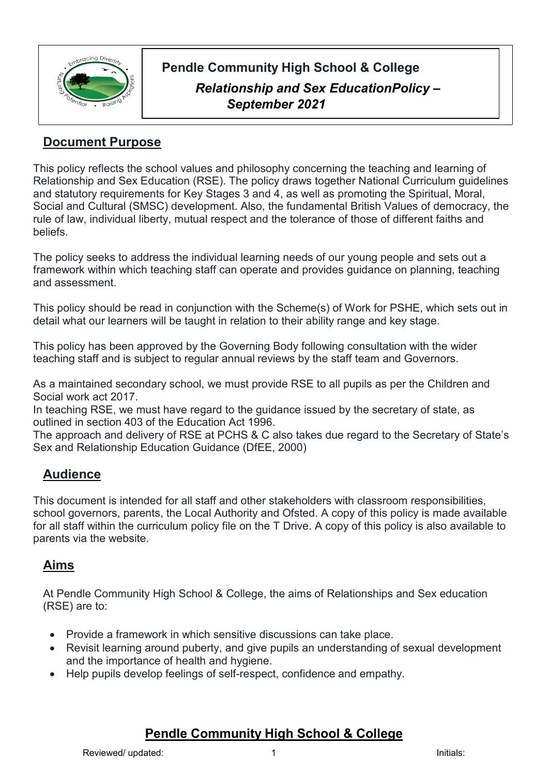

# **Pendle Community High School & College** *Relationship and Sex EducationPolicy – September 2021*

# **Document Purpose**

This policy reflects the school values and philosophy concerning the teaching and learning of Relationship and Sex Education (RSE). The policy draws together National Curriculum guidelines and statutory requirements for Key Stages 3 and 4, as well as promoting the Spiritual, Moral, Social and Cultural (SMSC) development. Also, the fundamental British Values of democracy, the rule of law, individual liberty, mutual respect and the tolerance of those of different faiths and beliefs.

The policy seeks to address the individual learning needs of our young people and sets out a framework within which teaching staff can operate and provides guidance on planning, teaching and assessment.

This policy should be read in conjunction with the Scheme(s) of Work for PSHE, which sets out in detail what our learners will be taught in relation to their ability range and key stage.

This policy has been approved by the Governing Body following consultation with the wider teaching staff and is subject to regular annual reviews by the staff team and Governors.

As a maintained secondary school, we must provide RSE to all pupils as per the Children and Social work act 2017.

In teaching RSE, we must have regard to the guidance issued by the secretary of state, as outlined in section 403 of the Education Act 1996.

The approach and delivery of RSE at PCHS & C also takes due regard to the Secretary of State's Sex and Relationship Education Guidance (DfEE, 2000)

### **Audience**

This document is intended for all staff and other stakeholders with classroom responsibilities, school governors, parents, the Local Authority and Ofsted. A copy of this policy is made available for all staff within the curriculum policy file on the T Drive. A copy of this policy is also available to parents via the website.

## **Aims**

At Pendle Community High School & College, the aims of Relationships and Sex education (RSE) are to:

- Provide a framework in which sensitive discussions can take place.
- Revisit learning around puberty, and give pupils an understanding of sexual development and the importance of health and hygiene.
- Help pupils develop feelings of self-respect, confidence and empathy.

### **Pendle Community High School & College**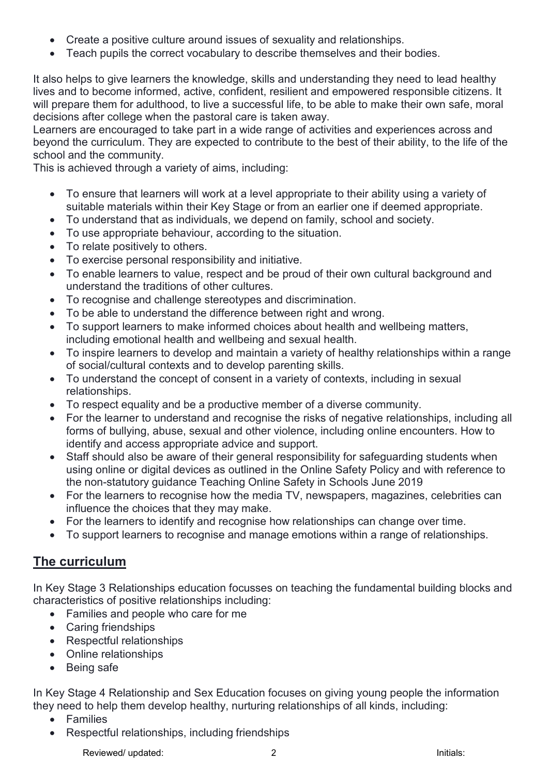- Create a positive culture around issues of sexuality and relationships.
- Teach pupils the correct vocabulary to describe themselves and their bodies.

It also helps to give learners the knowledge, skills and understanding they need to lead healthy lives and to become informed, active, confident, resilient and empowered responsible citizens. It will prepare them for adulthood, to live a successful life, to be able to make their own safe, moral decisions after college when the pastoral care is taken away.

Learners are encouraged to take part in a wide range of activities and experiences across and beyond the curriculum. They are expected to contribute to the best of their ability, to the life of the school and the community.

This is achieved through a variety of aims, including:

- To ensure that learners will work at a level appropriate to their ability using a variety of suitable materials within their Key Stage or from an earlier one if deemed appropriate.
- To understand that as individuals, we depend on family, school and society.
- To use appropriate behaviour, according to the situation.
- To relate positively to others.
- To exercise personal responsibility and initiative.
- To enable learners to value, respect and be proud of their own cultural background and understand the traditions of other cultures.
- To recognise and challenge stereotypes and discrimination.
- To be able to understand the difference between right and wrong.
- To support learners to make informed choices about health and wellbeing matters, including emotional health and wellbeing and sexual health.
- To inspire learners to develop and maintain a variety of healthy relationships within a range of social/cultural contexts and to develop parenting skills.
- To understand the concept of consent in a variety of contexts, including in sexual relationships.
- To respect equality and be a productive member of a diverse community.
- For the learner to understand and recognise the risks of negative relationships, including all forms of bullying, abuse, sexual and other violence, including online encounters. How to identify and access appropriate advice and support.
- Staff should also be aware of their general responsibility for safeguarding students when using online or digital devices as outlined in the Online Safety Policy and with reference to the non-statutory guidance Teaching Online Safety in Schools June 2019
- For the learners to recognise how the media TV, newspapers, magazines, celebrities can influence the choices that they may make.
- For the learners to identify and recognise how relationships can change over time.
- To support learners to recognise and manage emotions within a range of relationships.

### **The curriculum**

In Key Stage 3 Relationships education focusses on teaching the fundamental building blocks and characteristics of positive relationships including:

- Families and people who care for me
- Caring friendships
- Respectful relationships
- Online relationships
- Being safe

In Key Stage 4 Relationship and Sex Education focuses on giving young people the information they need to help them develop healthy, nurturing relationships of all kinds, including:

- Families
- Respectful relationships, including friendships

Reviewed/ updated:  $\overline{\phantom{a}}$  2 Initials: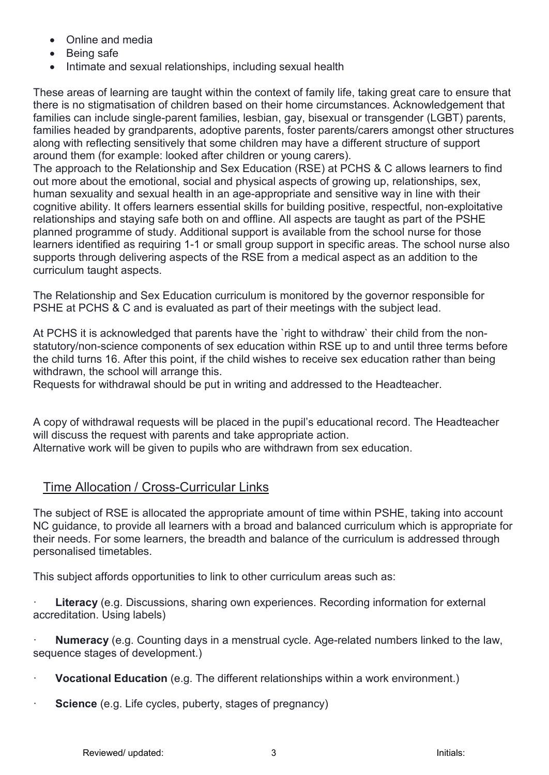- Online and media
- Being safe
- Intimate and sexual relationships, including sexual health

These areas of learning are taught within the context of family life, taking great care to ensure that there is no stigmatisation of children based on their home circumstances. Acknowledgement that families can include single-parent families, lesbian, gay, bisexual or transgender (LGBT) parents, families headed by grandparents, adoptive parents, foster parents/carers amongst other structures along with reflecting sensitively that some children may have a different structure of support around them (for example: looked after children or young carers).

The approach to the Relationship and Sex Education (RSE) at PCHS & C allows learners to find out more about the emotional, social and physical aspects of growing up, relationships, sex, human sexuality and sexual health in an age-appropriate and sensitive way in line with their cognitive ability. It offers learners essential skills for building positive, respectful, non-exploitative relationships and staying safe both on and offline. All aspects are taught as part of the PSHE planned programme of study. Additional support is available from the school nurse for those learners identified as requiring 1-1 or small group support in specific areas. The school nurse also supports through delivering aspects of the RSE from a medical aspect as an addition to the curriculum taught aspects.

The Relationship and Sex Education curriculum is monitored by the governor responsible for PSHE at PCHS & C and is evaluated as part of their meetings with the subject lead.

At PCHS it is acknowledged that parents have the `right to withdraw` their child from the nonstatutory/non-science components of sex education within RSE up to and until three terms before the child turns 16. After this point, if the child wishes to receive sex education rather than being withdrawn, the school will arrange this.

Requests for withdrawal should be put in writing and addressed to the Headteacher.

A copy of withdrawal requests will be placed in the pupil's educational record. The Headteacher will discuss the request with parents and take appropriate action.

Alternative work will be given to pupils who are withdrawn from sex education.

### Time Allocation / Cross-Curricular Links

The subject of RSE is allocated the appropriate amount of time within PSHE, taking into account NC guidance, to provide all learners with a broad and balanced curriculum which is appropriate for their needs. For some learners, the breadth and balance of the curriculum is addressed through personalised timetables.

This subject affords opportunities to link to other curriculum areas such as:

**Literacy** (e.g. Discussions, sharing own experiences. Recording information for external accreditation. Using labels)

· **Numeracy** (e.g. Counting days in a menstrual cycle. Age-related numbers linked to the law, sequence stages of development.)

- **Vocational Education** (e.g. The different relationships within a work environment.)
- **Science** (e.g. Life cycles, puberty, stages of pregnancy)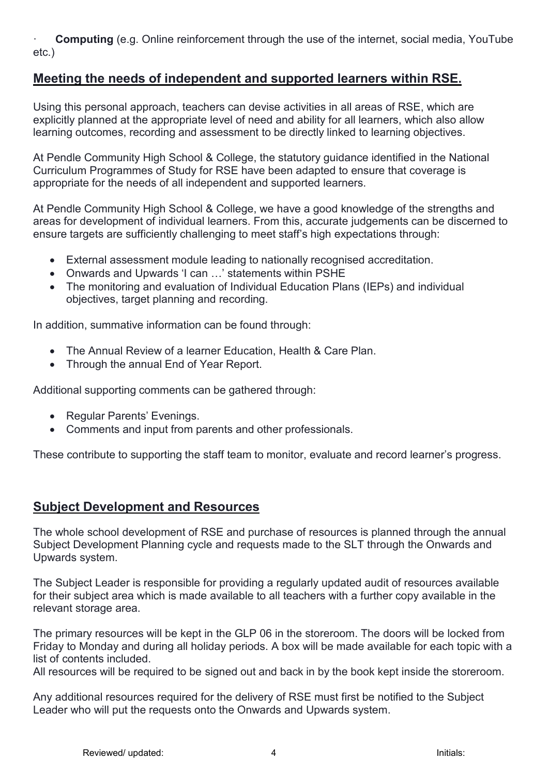· **Computing** (e.g. Online reinforcement through the use of the internet, social media, YouTube etc.)

#### **Meeting the needs of independent and supported learners within RSE.**

Using this personal approach, teachers can devise activities in all areas of RSE, which are explicitly planned at the appropriate level of need and ability for all learners, which also allow learning outcomes, recording and assessment to be directly linked to learning objectives.

At Pendle Community High School & College, the statutory guidance identified in the National Curriculum Programmes of Study for RSE have been adapted to ensure that coverage is appropriate for the needs of all independent and supported learners.

At Pendle Community High School & College, we have a good knowledge of the strengths and areas for development of individual learners. From this, accurate judgements can be discerned to ensure targets are sufficiently challenging to meet staff's high expectations through:

- External assessment module leading to nationally recognised accreditation.
- Onwards and Upwards 'I can …' statements within PSHE
- The monitoring and evaluation of Individual Education Plans (IEPs) and individual objectives, target planning and recording.

In addition, summative information can be found through:

- The Annual Review of a learner Education, Health & Care Plan.
- Through the annual End of Year Report.

Additional supporting comments can be gathered through:

- Regular Parents' Evenings.
- Comments and input from parents and other professionals.

These contribute to supporting the staff team to monitor, evaluate and record learner's progress.

#### **Subject Development and Resources**

The whole school development of RSE and purchase of resources is planned through the annual Subject Development Planning cycle and requests made to the SLT through the Onwards and Upwards system.

The Subject Leader is responsible for providing a regularly updated audit of resources available for their subject area which is made available to all teachers with a further copy available in the relevant storage area.

The primary resources will be kept in the GLP 06 in the storeroom. The doors will be locked from Friday to Monday and during all holiday periods. A box will be made available for each topic with a list of contents included.

All resources will be required to be signed out and back in by the book kept inside the storeroom.

Any additional resources required for the delivery of RSE must first be notified to the Subject Leader who will put the requests onto the Onwards and Upwards system.